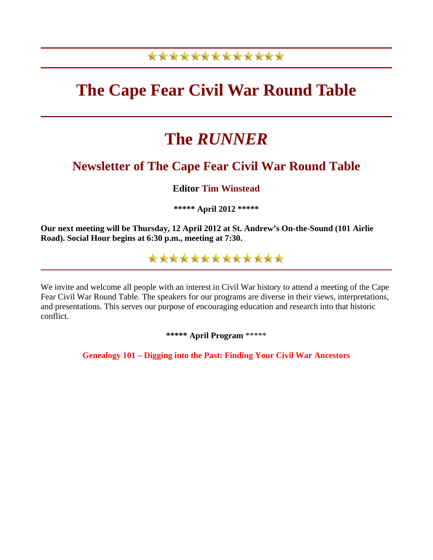## \*\*\*\*\*\*\*\*\*\*\*\*\*

# **The Cape Fear Civil War Round Table**

# **The** *RUNNER*

## **Newsletter of The Cape Fear Civil War Round Table**

### **Editor Tim Winstead**

**\*\*\*\*\* April 2012 \*\*\*\*\***

**Our next meeting will be Thursday, 12 April 2012 at St. Andrew's On-the-Sound (101 Airlie Road). Social Hour begins at 6:30 p.m., meeting at 7:30.**

\*\*\*\*\*\*\*\*\*\*\*\*\*

We invite and welcome all people with an interest in Civil War history to attend a meeting of the Cape Fear Civil War Round Table. The speakers for our programs are diverse in their views, interpretations, and presentations. This serves our purpose of encouraging education and research into that historic conflict.

**\*\*\*\*\* April Program** \*\*\*\*\*

**Genealogy 101 – Digging into the Past: Finding Your Civil War Ancestors**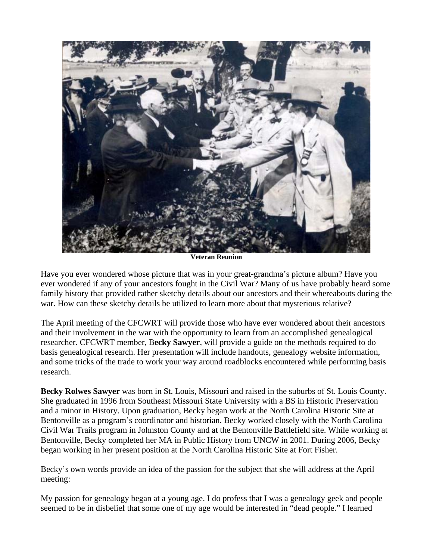

**Veteran Reunion**

Have you ever wondered whose picture that was in your great-grandma's picture album? Have you ever wondered if any of your ancestors fought in the Civil War? Many of us have probably heard some family history that provided rather sketchy details about our ancestors and their whereabouts during the war. How can these sketchy details be utilized to learn more about that mysterious relative?

The April meeting of the CFCWRT will provide those who have ever wondered about their ancestors and their involvement in the war with the opportunity to learn from an accomplished genealogical researcher. CFCWRT member, B**ecky Sawyer**, will provide a guide on the methods required to do basis genealogical research. Her presentation will include handouts, genealogy website information, and some tricks of the trade to work your way around roadblocks encountered while performing basis research.

**Becky Rolwes Sawyer** was born in St. Louis, Missouri and raised in the suburbs of St. Louis County. She graduated in 1996 from Southeast Missouri State University with a BS in Historic Preservation and a minor in History. Upon graduation, Becky began work at the North Carolina Historic Site at Bentonville as a program's coordinator and historian. Becky worked closely with the North Carolina Civil War Trails program in Johnston County and at the Bentonville Battlefield site. While working at Bentonville, Becky completed her MA in Public History from UNCW in 2001. During 2006, Becky began working in her present position at the North Carolina Historic Site at Fort Fisher.

Becky's own words provide an idea of the passion for the subject that she will address at the April meeting:

My passion for genealogy began at a young age. I do profess that I was a genealogy geek and people seemed to be in disbelief that some one of my age would be interested in "dead people." I learned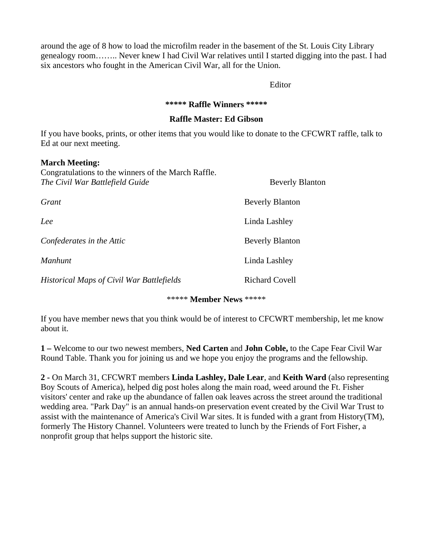around the age of 8 how to load the microfilm reader in the basement of the St. Louis City Library genealogy room…….. Never knew I had Civil War relatives until I started digging into the past. I had six ancestors who fought in the American Civil War, all for the Union.

Editor

#### **\*\*\*\*\* Raffle Winners \*\*\*\*\***

#### **Raffle Master: Ed Gibson**

If you have books, prints, or other items that you would like to donate to the CFCWRT raffle, talk to Ed at our next meeting.

#### **March Meeting:**

| Congratulations to the winners of the March Raffle.<br>The Civil War Battlefield Guide | <b>Beverly Blanton</b> |
|----------------------------------------------------------------------------------------|------------------------|
| Grant                                                                                  | <b>Beverly Blanton</b> |
| Lee                                                                                    | Linda Lashley          |
| Confederates in the Attic                                                              | <b>Beverly Blanton</b> |
| <b>Manhunt</b>                                                                         | Linda Lashley          |
| <b>Historical Maps of Civil War Battlefields</b>                                       | <b>Richard Covell</b>  |

\*\*\*\*\* **Member News** \*\*\*\*\*

If you have member news that you think would be of interest to CFCWRT membership, let me know about it.

**1 –** Welcome to our two newest members, **Ned Carten** and **John Coble,** to the Cape Fear Civil War Round Table. Thank you for joining us and we hope you enjoy the programs and the fellowship.

**2 -** On March 31, CFCWRT members **Linda Lashley, Dale Lear**, and **Keith Ward** (also representing Boy Scouts of America), helped dig post holes along the main road, weed around the Ft. Fisher visitors' center and rake up the abundance of fallen oak leaves across the street around the traditional wedding area. "Park Day" is an annual hands-on preservation event created by the Civil War Trust to assist with the maintenance of America's Civil War sites. It is funded with a grant from History(TM), formerly The History Channel. Volunteers were treated to lunch by the Friends of Fort Fisher, a nonprofit group that helps support the historic site.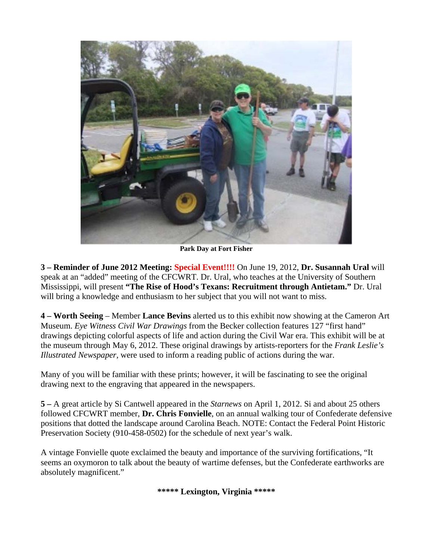

**Park Day at Fort Fisher**

**3 – Reminder of June 2012 Meeting: Special Event!!!!** On June 19, 2012, **Dr. Susannah Ural** will speak at an "added" meeting of the CFCWRT. Dr. Ural, who teaches at the University of Southern Mississippi, will present **"The Rise of Hood's Texans: Recruitment through Antietam."** Dr. Ural will bring a knowledge and enthusiasm to her subject that you will not want to miss.

**4 – Worth Seeing** – Member **Lance Bevins** alerted us to this exhibit now showing at the Cameron Art Museum. *Eye Witness Civil War Drawings* from the Becker collection features 127 "first hand" drawings depicting colorful aspects of life and action during the Civil War era. This exhibit will be at the museum through May 6, 2012. These original drawings by artists-reporters for the *Frank Leslie's Illustrated Newspaper,* were used to inform a reading public of actions during the war.

Many of you will be familiar with these prints; however, it will be fascinating to see the original drawing next to the engraving that appeared in the newspapers.

**5 –** A great article by Si Cantwell appeared in the *Starnews* on April 1, 2012. Si and about 25 others followed CFCWRT member, **Dr. Chris Fonvielle**, on an annual walking tour of Confederate defensive positions that dotted the landscape around Carolina Beach. NOTE: Contact the Federal Point Historic Preservation Society (910-458-0502) for the schedule of next year's walk.

A vintage Fonvielle quote exclaimed the beauty and importance of the surviving fortifications, "It seems an oxymoron to talk about the beauty of wartime defenses, but the Confederate earthworks are absolutely magnificent."

**\*\*\*\*\* Lexington, Virginia \*\*\*\*\***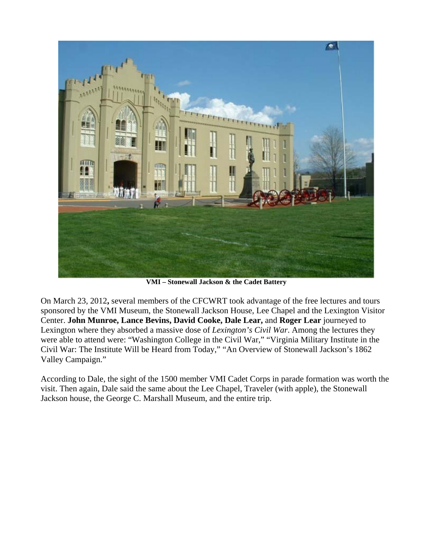

**VMI – Stonewall Jackson & the Cadet Battery**

On March 23, 2012**,** several members of the CFCWRT took advantage of the free lectures and tours sponsored by the VMI Museum, the Stonewall Jackson House, Lee Chapel and the Lexington Visitor Center. **John Munroe, Lance Bevins, David Cooke, Dale Lear,** and **Roger Lear** journeyed to Lexington where they absorbed a massive dose of *Lexington's Civil War*. Among the lectures they were able to attend were: "Washington College in the Civil War," "Virginia Military Institute in the Civil War: The Institute Will be Heard from Today," "An Overview of Stonewall Jackson's 1862 Valley Campaign."

According to Dale, the sight of the 1500 member VMI Cadet Corps in parade formation was worth the visit. Then again, Dale said the same about the Lee Chapel, Traveler (with apple), the Stonewall Jackson house, the George C. Marshall Museum, and the entire trip.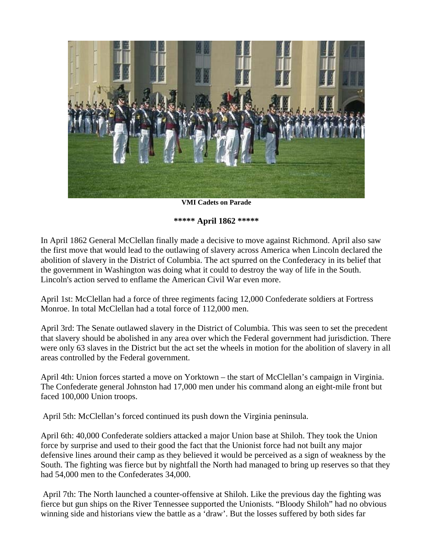

**VMI Cadets on Parade**

**\*\*\*\*\* April 1862 \*\*\*\*\***

In April 1862 General McClellan finally made a decisive to move against Richmond. April also saw the first move that would lead to the outlawing of slavery across America when Lincoln declared the abolition of slavery in the District of Columbia. The act spurred on the Confederacy in its belief that the government in Washington was doing what it could to destroy the way of life in the South. Lincoln's action served to enflame the American Civil War even more.

April 1st: McClellan had a force of three regiments facing 12,000 Confederate soldiers at Fortress Monroe. In total McClellan had a total force of 112,000 men.

April 3rd: The Senate outlawed slavery in the District of Columbia. This was seen to set the precedent that slavery should be abolished in any area over which the Federal government had jurisdiction. There were only 63 slaves in the District but the act set the wheels in motion for the abolition of slavery in all areas controlled by the Federal government.

April 4th: Union forces started a move on Yorktown – the start of McClellan's campaign in Virginia. The Confederate general Johnston had 17,000 men under his command along an eight-mile front but faced 100,000 Union troops.

April 5th: McClellan's forced continued its push down the Virginia peninsula.

April 6th: 40,000 Confederate soldiers attacked a major Union base at Shiloh. They took the Union force by surprise and used to their good the fact that the Unionist force had not built any major defensive lines around their camp as they believed it would be perceived as a sign of weakness by the South. The fighting was fierce but by nightfall the North had managed to bring up reserves so that they had 54,000 men to the Confederates 34,000.

 April 7th: The North launched a counter-offensive at Shiloh. Like the previous day the fighting was fierce but gun ships on the River Tennessee supported the Unionists. "Bloody Shiloh" had no obvious winning side and historians view the battle as a 'draw'. But the losses suffered by both sides far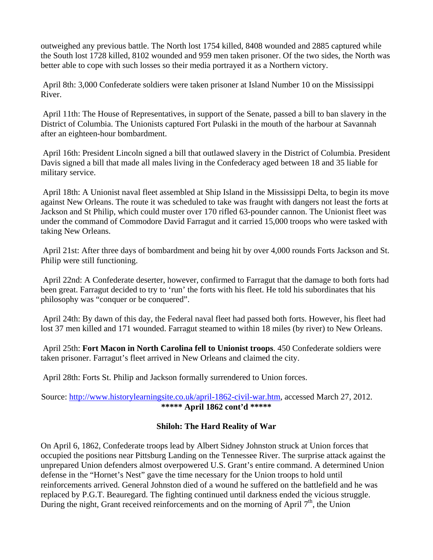outweighed any previous battle. The North lost 1754 killed, 8408 wounded and 2885 captured while the South lost 1728 killed, 8102 wounded and 959 men taken prisoner. Of the two sides, the North was better able to cope with such losses so their media portrayed it as a Northern victory.

 April 8th: 3,000 Confederate soldiers were taken prisoner at Island Number 10 on the Mississippi River.

 April 11th: The House of Representatives, in support of the Senate, passed a bill to ban slavery in the District of Columbia. The Unionists captured Fort Pulaski in the mouth of the harbour at Savannah after an eighteen-hour bombardment.

 April 16th: President Lincoln signed a bill that outlawed slavery in the District of Columbia. President Davis signed a bill that made all males living in the Confederacy aged between 18 and 35 liable for military service.

 April 18th: A Unionist naval fleet assembled at Ship Island in the Mississippi Delta, to begin its move against New Orleans. The route it was scheduled to take was fraught with dangers not least the forts at Jackson and St Philip, which could muster over 170 rifled 63-pounder cannon. The Unionist fleet was under the command of Commodore David Farragut and it carried 15,000 troops who were tasked with taking New Orleans.

 April 21st: After three days of bombardment and being hit by over 4,000 rounds Forts Jackson and St. Philip were still functioning.

 April 22nd: A Confederate deserter, however, confirmed to Farragut that the damage to both forts had been great. Farragut decided to try to 'run' the forts with his fleet. He told his subordinates that his philosophy was "conquer or be conquered".

 April 24th: By dawn of this day, the Federal naval fleet had passed both forts. However, his fleet had lost 37 men killed and 171 wounded. Farragut steamed to within 18 miles (by river) to New Orleans.

 April 25th: **Fort Macon in North Carolina fell to Unionist troops**. 450 Confederate soldiers were taken prisoner. Farragut's fleet arrived in New Orleans and claimed the city.

April 28th: Forts St. Philip and Jackson formally surrendered to Union forces.

Source: [http://www.historylearningsite.co.uk/april-1862-civil-war.htm,](http://www.historylearningsite.co.uk/april-1862-civil-war.htm) accessed March 27, 2012. **\*\*\*\*\* April 1862 cont'd \*\*\*\*\***

### **Shiloh: The Hard Reality of War**

On April 6, 1862, Confederate troops lead by Albert Sidney Johnston struck at Union forces that occupied the positions near Pittsburg Landing on the Tennessee River. The surprise attack against the unprepared Union defenders almost overpowered U.S. Grant's entire command. A determined Union defense in the "Hornet's Nest" gave the time necessary for the Union troops to hold until reinforcements arrived. General Johnston died of a wound he suffered on the battlefield and he was replaced by P.G.T. Beauregard. The fighting continued until darkness ended the vicious struggle. During the night, Grant received reinforcements and on the morning of April  $7<sup>th</sup>$ , the Union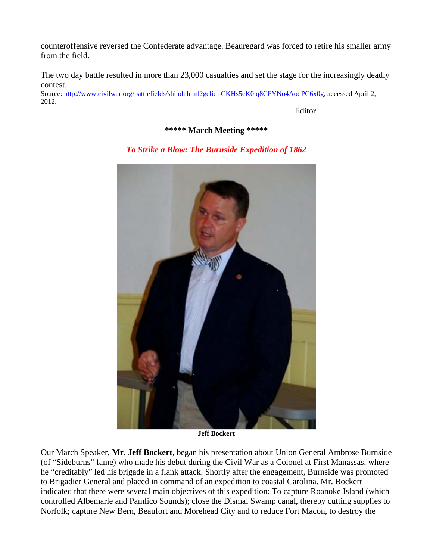counteroffensive reversed the Confederate advantage. Beauregard was forced to retire his smaller army from the field.

The two day battle resulted in more than 23,000 casualties and set the stage for the increasingly deadly contest.

Source: <http://www.civilwar.org/battlefields/shiloh.html?gclid=CKHs5cK0lq8CFYNo4AodPC6x0g>, accessed April 2, 2012.

Editor

**\*\*\*\*\* March Meeting \*\*\*\*\***

*To Strike a Blow: The Burnside Expedition of 1862*

**Jeff Bockert**

Our March Speaker, **Mr. Jeff Bockert**, began his presentation about Union General Ambrose Burnside (of "Sideburns" fame) who made his debut during the Civil War as a Colonel at First Manassas, where he "creditably" led his brigade in a flank attack. Shortly after the engagement, Burnside was promoted to Brigadier General and placed in command of an expedition to coastal Carolina. Mr. Bockert indicated that there were several main objectives of this expedition: To capture Roanoke Island (which controlled Albemarle and Pamlico Sounds); close the Dismal Swamp canal, thereby cutting supplies to Norfolk; capture New Bern, Beaufort and Morehead City and to reduce Fort Macon, to destroy the

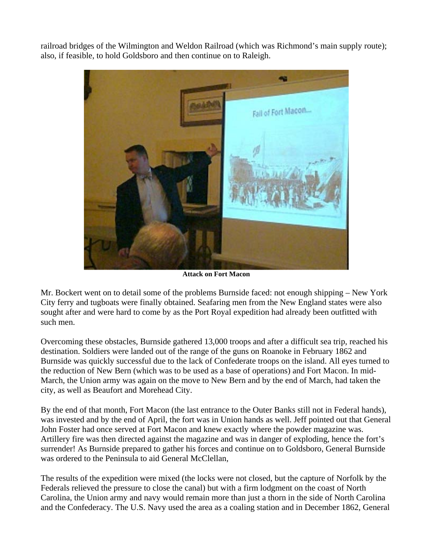railroad bridges of the Wilmington and Weldon Railroad (which was Richmond's main supply route); also, if feasible, to hold Goldsboro and then continue on to Raleigh.



**Attack on Fort Macon**

Mr. Bockert went on to detail some of the problems Burnside faced: not enough shipping – New York City ferry and tugboats were finally obtained. Seafaring men from the New England states were also sought after and were hard to come by as the Port Royal expedition had already been outfitted with such men.

Overcoming these obstacles, Burnside gathered 13,000 troops and after a difficult sea trip, reached his destination. Soldiers were landed out of the range of the guns on Roanoke in February 1862 and Burnside was quickly successful due to the lack of Confederate troops on the island. All eyes turned to the reduction of New Bern (which was to be used as a base of operations) and Fort Macon. In mid-March, the Union army was again on the move to New Bern and by the end of March, had taken the city, as well as Beaufort and Morehead City.

By the end of that month, Fort Macon (the last entrance to the Outer Banks still not in Federal hands), was invested and by the end of April, the fort was in Union hands as well. Jeff pointed out that General John Foster had once served at Fort Macon and knew exactly where the powder magazine was. Artillery fire was then directed against the magazine and was in danger of exploding, hence the fort's surrender! As Burnside prepared to gather his forces and continue on to Goldsboro, General Burnside was ordered to the Peninsula to aid General McClellan,

The results of the expedition were mixed (the locks were not closed, but the capture of Norfolk by the Federals relieved the pressure to close the canal) but with a firm lodgment on the coast of North Carolina, the Union army and navy would remain more than just a thorn in the side of North Carolina and the Confederacy. The U.S. Navy used the area as a coaling station and in December 1862, General